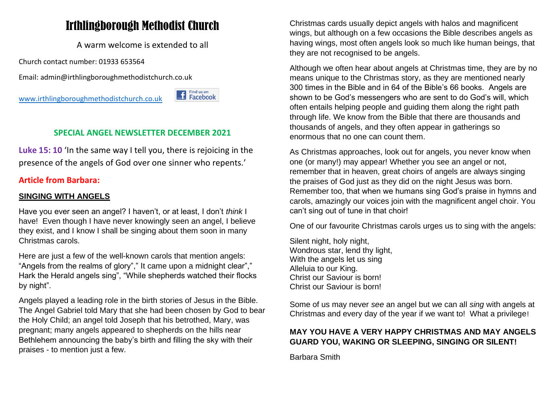# Irthlingborough Methodist Church

A warm welcome is extended to all

Church contact number: 01933 653564

Email: admin@irthlingboroughmethodistchurch.co.uk

[www.irthlingboroughmethodistchurch.co.uk](http://www.irthlingboroughmethodistchurch.co.uk/)

### **SPECIAL ANGEL NEWSLETTER DECEMBER 2021**

<sup>Find us on</sup><br>Facebook

**Luke 15: 10** 'In the same way I tell you, there is rejoicing in the presence of the angels of God over one sinner who repents.'

### **Article from Barbara:**

#### **SINGING WITH ANGELS**

Have you ever seen an angel? I haven't, or at least, I don't *think* I have! Even though I have never knowingly seen an angel, I believe they exist, and I know I shall be singing about them soon in many Christmas carols.

Here are just a few of the well-known carols that mention angels: "Angels from the realms of glory"," It came upon a midnight clear"," Hark the Herald angels sing", "While shepherds watched their flocks by night".

Angels played a leading role in the birth stories of Jesus in the Bible. The Angel Gabriel told Mary that she had been chosen by God to bear the Holy Child; an angel told Joseph that his betrothed, Mary, was pregnant; many angels appeared to shepherds on the hills near Bethlehem announcing the baby's birth and filling the sky with their praises - to mention just a few.

Christmas cards usually depict angels with halos and magnificent wings, but although on a few occasions the Bible describes angels as having wings, most often angels look so much like human beings, that they are not recognised to be angels.

Although we often hear about angels at Christmas time, they are by no means unique to the Christmas story, as they are mentioned nearly 300 times in the Bible and in 64 of the Bible's 66 books. Angels are shown to be God's messengers who are sent to do God's will, which often entails helping people and guiding them along the right path through life. We know from the Bible that there are thousands and thousands of angels, and they often appear in gatherings so enormous that no one can count them.

As Christmas approaches, look out for angels, you never know when one (or many!) may appear! Whether you see an angel or not, remember that in heaven, great choirs of angels are always singing the praises of God just as they did on the night Jesus was born. Remember too, that when we humans sing God's praise in hymns and carols, amazingly our voices join with the magnificent angel choir. You can't sing out of tune in that choir!

One of our favourite Christmas carols urges us to sing with the angels:

Silent night, holy night, Wondrous star, lend thy light, With the angels let us sing Alleluia to our King. Christ our Saviour is born! Christ our Saviour is born!

Some of us may never *see* an angel but we can all *sing* with angels at Christmas and every day of the year if we want to! What a privilege!

### **MAY YOU HAVE A VERY HAPPY CHRISTMAS AND MAY ANGELS GUARD YOU, WAKING OR SLEEPING, SINGING OR SILENT!**

Barbara Smith